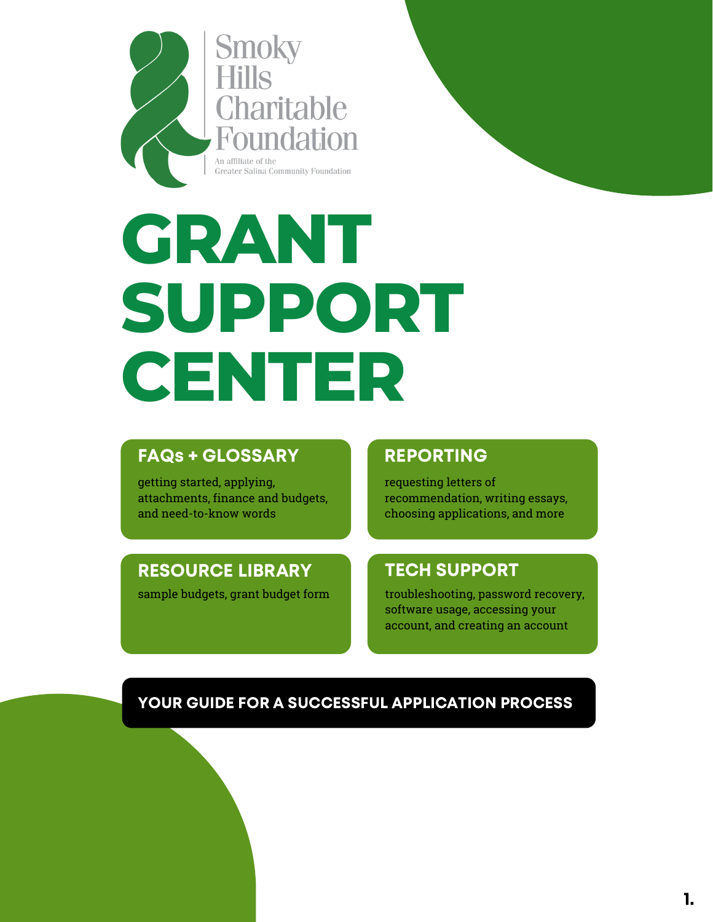

Charitable Foundation An affiliate of the **Greater Salina Community Foundation** 

# **GRANT SUPPORT CENTER**

#### FAQs + [GLOSSARY](#page-2-0) [REPORTING](#page-4-0)

getting started, applying, attachments, finance and budgets, and need-to-know words

requesting letters of recommendation, writing essays, choosing applications, and more

#### [RESOURCE](#page-9-0) LIBRARY

sample budgets, grant budget form

#### TECH [SUPPORT](#page-6-0)

troubleshooting, password recovery, software usage, accessing your account, and creating an account

#### YOUR GUIDE FOR A SUCCESSFUL APPLICATION PROCESS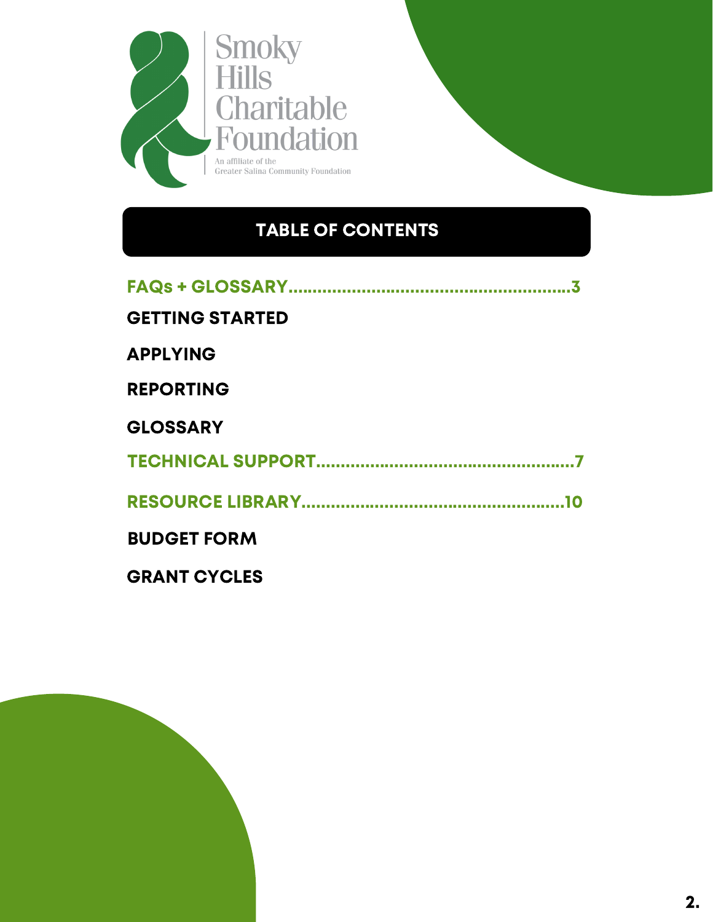

#### TABLE OF CONTENTS

| <b>GETTING STARTED</b> |
|------------------------|
| <b>APPLYING</b>        |
| <b>REPORTING</b>       |
| <b>GLOSSARY</b>        |
|                        |
|                        |
| <b>BUDGET FORM</b>     |
| <b>GRANT CYCLES</b>    |

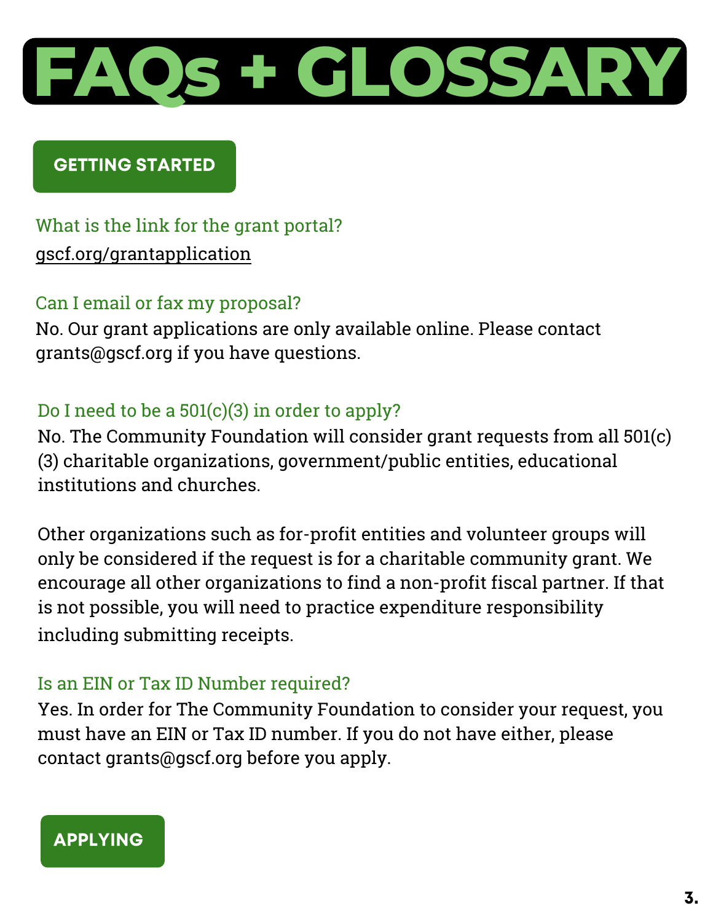<span id="page-2-0"></span>

#### GETTING STARTED

### What is the link for the grant portal? [gscf.org/grantapplication](www.gscf.org/grantapplication)

#### Can I email or fax my proposal?

No. Our grant applications are only available online. Please contact grants@gscf.org if you have questions.

#### Do I need to be a  $501(c)(3)$  in order to apply?

No. The Community Foundation will consider grant requests from all 501(c) (3) charitable organizations, government/public entities, educational institutions and churches.

Other organizations such as for-profit entities and volunteer groups will only be considered if the request is for a charitable community grant. We encourage all other organizations to find a non-profit fiscal partner. If that is not possible, you will need to practice expenditure responsibility inc  $\overline{a}$ l |<br>|<br>| u  $\overline{P}$ d l.<br>Li in  $\ddot{\phantom{0}}$ g  $\ddot{\phantom{0}}$ s l<br>Ser ubmitting receipts.

#### Is an EIN or Tax ID Number required?

Yes. In order for The Community Foundation to consider your request, you must have an EIN or Tax ID number. If you do not have either, please contact grants@gscf.org before you apply.

#### APPLYING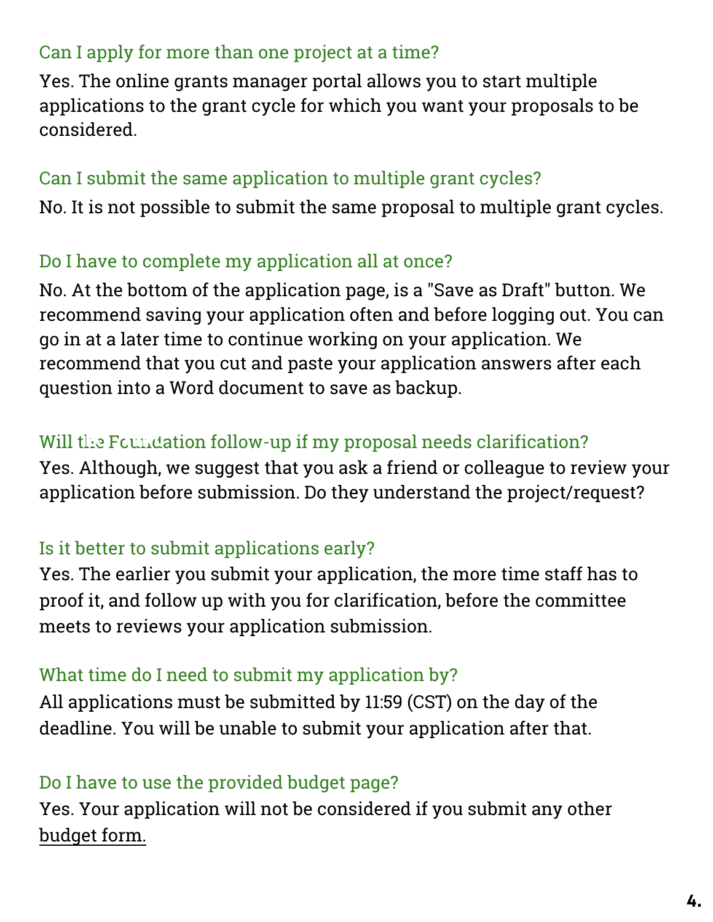#### <span id="page-3-0"></span>Can I apply for more than one project at a time?

Yes. The online grants manager portal allows you to start multiple applications to the grant cycle for which you want your proposals to be considered.

#### Can I submit the same application to multiple grant cycles?

No. It is not possible to submit the same proposal to multiple grant cycles.

#### Do I have to complete my application all at once?

No. At the bottom of the application page, is a "Save as Draft" button. We recommend saving your application often and before logging out. You can go in at a later time to continue working on your application. We recommend that you cut and paste your application answers after each question into a Word document to save as backup.

#### Will the Foundation follow-up if my proposal needs clarification?

Yes. Although, we suggest that you ask a friend or colleague to review your application before submission. Do they understand the project/request?

#### Is it better to submit applications early?

Yes. The earlier you submit your application, the more time staff has to proof it, and follow up with you for clarification, before the committee meets to reviews your application submission.

#### What time do I need to submit my application by?

All applications must be submitted by 11:59 (CST) on the day of the deadline. You will be unable to submit your application after that.

#### Do I have to use the provided budget page?

Yes. Your application will not be considered if you submit any other [budget form.](#page-10-0)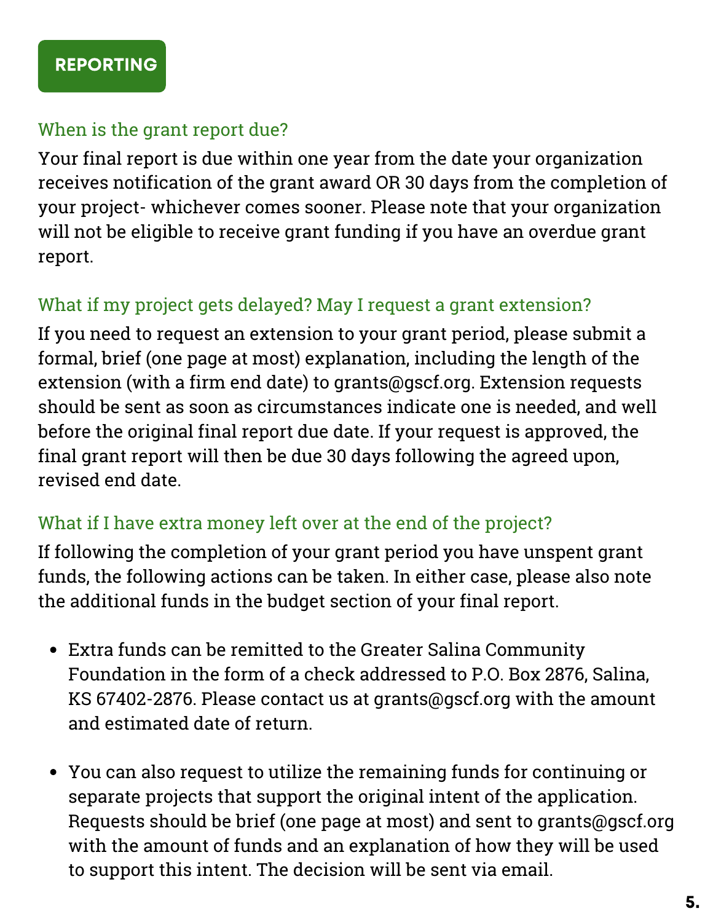#### <span id="page-4-0"></span>When is the grant report due?

Your final report is due within one year from the date your organization receives notification of the grant award OR 30 days from the completion of your project- whichever comes sooner. Please note that your organization will not be eligible to receive grant funding if you have an overdue grant report.

#### What if my project gets delayed? May I request a grant extension?

If you need to request an extension to your grant period, please submit a formal, brief (one page at most) explanation, including the length of the extension (with a firm end date) to grants@gscf.org. Extension requests should be sent as soon as circumstances indicate one is needed, and well before the original final report due date. If your request is approved, the final grant report will then be due 30 days following the agreed upon, revised end date.

#### What if I have extra money left over at the end of the project?

If following the completion of your grant period you have unspent grant funds, the following actions can be taken. In either case, please also note the additional funds in the budget section of your final report.

- Extra funds can be remitted to the Greater Salina Community Foundation in the form of a check addressed to P.O. Box 2876, Salina, KS 67402-2876. Please contact us at grants@gscf.org with the amount and estimated date of return.
- You can also request to utilize the remaining funds for continuing or separate projects that support the original intent of the application. Requests should be brief (one page at most) and sent to grants@gscf.org with the amount of funds and an explanation of how they will be used to support this intent. The decision will be sent via email.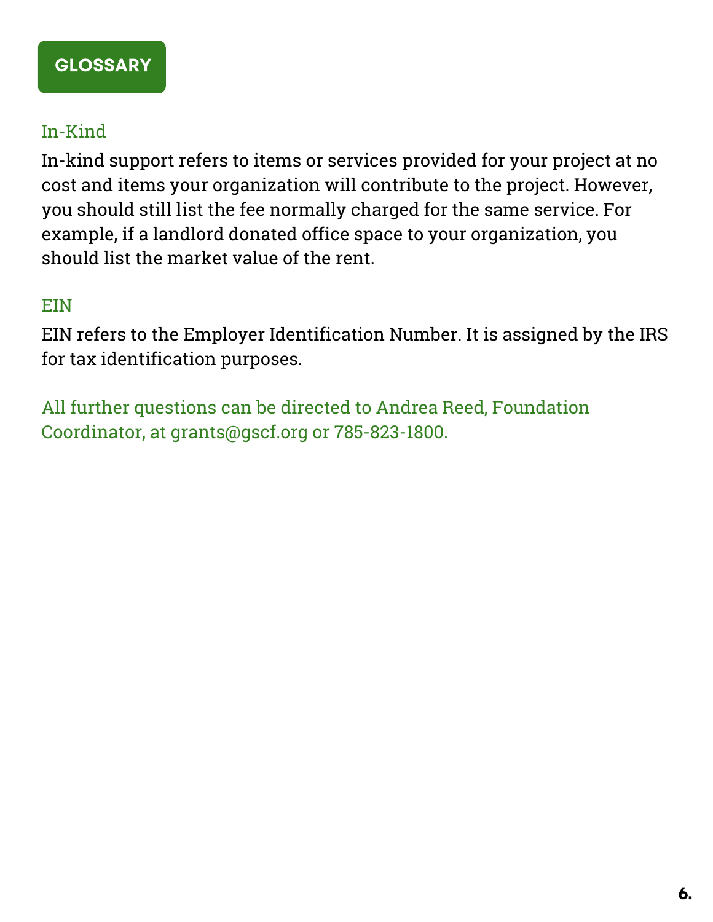#### <span id="page-5-0"></span>In-Kind

In-kind support refers to items or services provided for your project at no cost and items your organization will contribute to the project. However, you should still list the fee normally charged for the same service. For example, if a landlord donated office space to your organization, you should list the market value of the rent.

#### EIN

EIN refers to the Employer Identification Number. It is assigned by the IRS for tax identification purposes.

All further questions can be directed to Andrea Reed, Foundation Coordinator, at grants@gscf.org or 785-823-1800.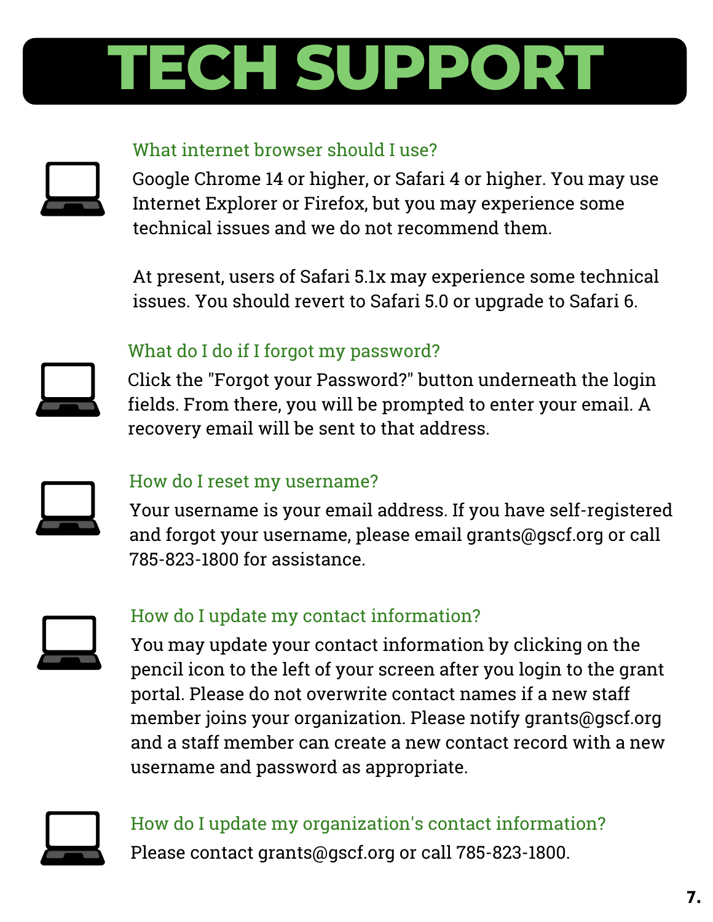# <span id="page-6-0"></span>**TECH SUPPORT**

#### What internet browser should I use?



Google Chrome 14 or higher, or Safari 4 or higher. You may use Internet Explorer or Firefox, but you may experience some technical issues and we do not recommend them.

At present, users of Safari 5.1x may experience some technical issues. You should revert to Safari 5.0 or upgrade to Safari 6.



#### What do I do if I forgot my password?

Click the "Forgot your Password?" button underneath the login fields. From there, you will be prompted to enter your email. A recovery email will be sent to that address.



#### How do I reset my username?

Your username is your email address. If you have self-registered and forgot your username, please email grants@gscf.org or call 785-823-1800 for assistance.



#### How do I update my contact information?

You may update your contact information by clicking on the pencil icon to the left of your screen after you login to the grant portal. Please do not overwrite contact names if a new staff member joins your organization. Please notify grants@gscf.org and a staff member can create a new contact record with a new username and password as appropriate.



#### How do I update my organization's contact information? Please contact grants@gscf.org or call 785-823-1800.

7.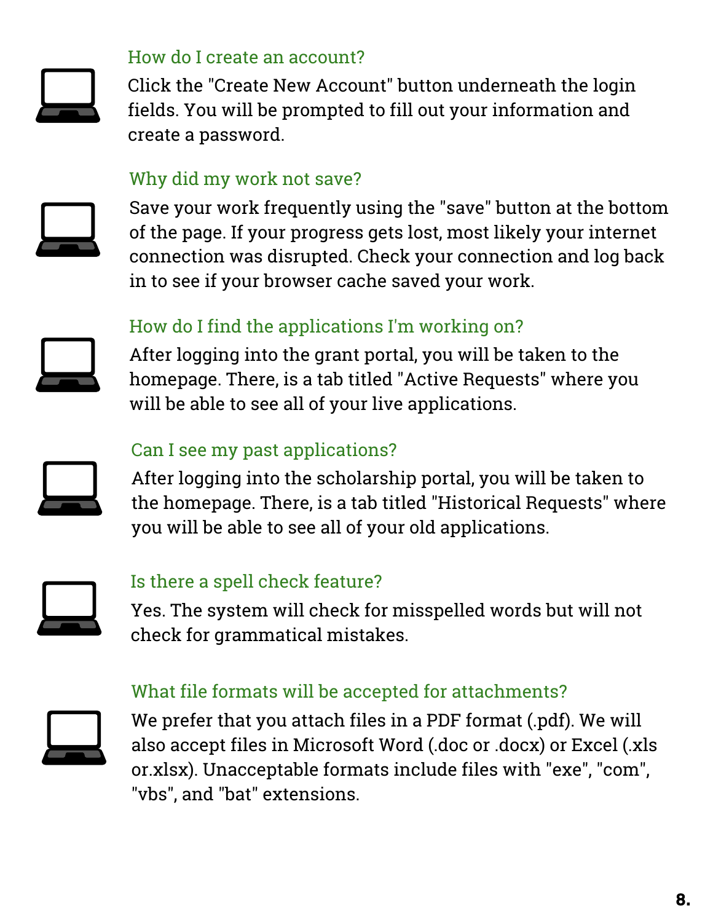

#### How do I create an account?

Click the "Create New Account" button underneath the login fields. You will be prompted to fill out your information and create a password.

#### Why did my work not save?



Save your work frequently using the "save" button at the bottom of the page. If your progress gets lost, most likely your internet connection was disrupted. Check your connection and log back in to see if your browser cache saved your work.

### How do I find the applications I'm working on?



After logging into the grant portal, you will be taken to the homepage. There, is a tab titled "Active Requests" where you will be able to see all of your live applications.

#### Can I see my past applications?



After logging into the scholarship portal, you will be taken to the homepage. There, is a tab titled "Historical Requests" where you will be able to see all of your old applications.



#### Is there a spell check feature?

Yes. The system will check for misspelled words but will not check for grammatical mistakes.

#### What file formats will be accepted for attachments?



We prefer that you attach files in a PDF format (.pdf). We will also accept files in Microsoft Word (.doc or .docx) or Excel (.xls or.xlsx). Unacceptable formats include files with "exe", "com", "vbs", and "bat" extensions.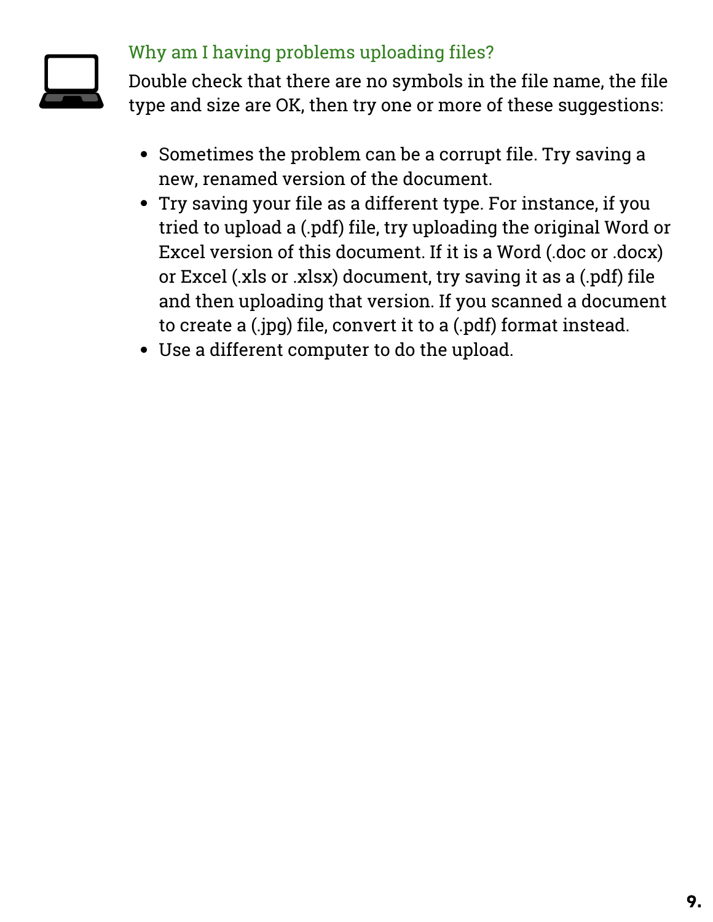

#### Why am I having problems uploading files?

Double check that there are no symbols in the file name, the file type and size are OK, then try one or more of these suggestions:

- Sometimes the problem can be a corrupt file. Try saving a new, renamed version of the document.
- Try saving your file as a different type. For instance, if you tried to upload a (.pdf) file, try uploading the original Word or Excel version of this document. If it is a Word (.doc or .docx) or Excel (.xls or .xlsx) document, try saving it as a (.pdf) file and then uploading that version. If you scanned a document to create a (.jpg) file, convert it to a (.pdf) format instead.
- Use a different computer to do the upload.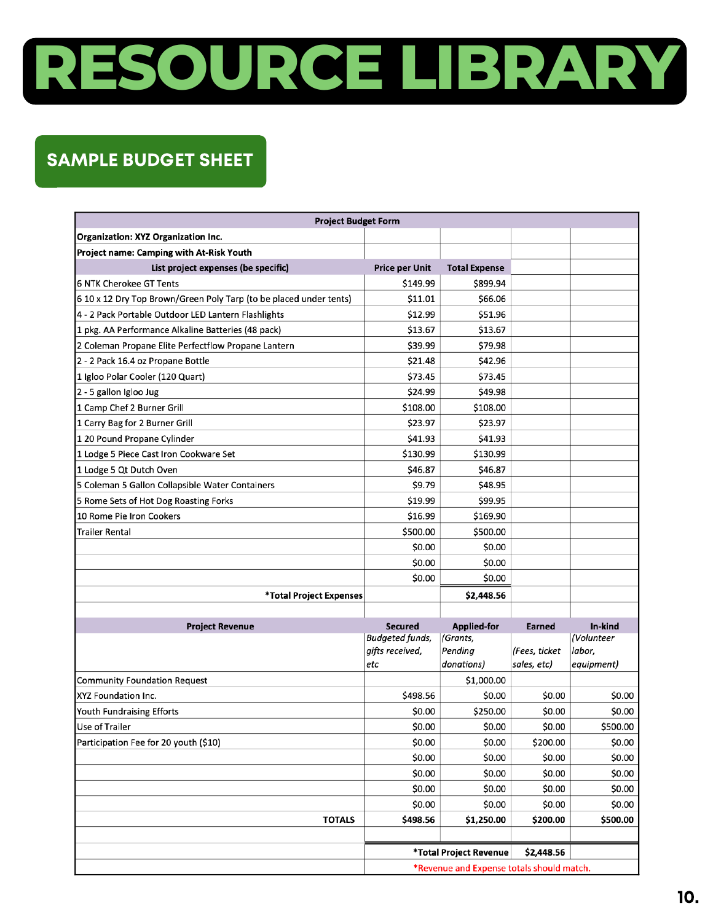# <span id="page-9-0"></span>**RESOURCE LIBRARY**

#### SAMPLE BUDGET SHEET

| <b>Organization: XYZ Organization Inc.</b><br>Project name: Camping with At-Risk Youth<br>List project expenses (be specific)<br><b>Price per Unit</b><br><b>Total Expense</b><br>6 NTK Cherokee GT Tents<br>\$149.99<br>\$899.94<br>6 10 x 12 Dry Top Brown/Green Poly Tarp (to be placed under tents)<br>\$11.01<br>\$66.06<br>4 - 2 Pack Portable Outdoor LED Lantern Flashlights<br>\$12.99<br>\$51.96<br>1 pkg. AA Performance Alkaline Batteries (48 pack)<br>\$13.67<br>\$13.67<br>2 Coleman Propane Elite Perfectflow Propane Lantern<br>\$39.99<br>\$79.98<br>2 - 2 Pack 16.4 oz Propane Bottle<br>\$21.48<br>\$42.96<br>\$73.45<br>1 Igloo Polar Cooler (120 Quart)<br>\$73.45<br>\$24.99<br>2 - 5 gallon Igloo Jug<br>\$49.98<br>\$108.00<br>1 Camp Chef 2 Burner Grill<br>\$108.00<br>\$23.97<br>1 Carry Bag for 2 Burner Grill<br>\$23.97<br>1 20 Pound Propane Cylinder<br>\$41.93<br>\$41.93<br>1 Lodge 5 Piece Cast Iron Cookware Set<br>\$130.99<br>\$130.99<br>1 Lodge 5 Qt Dutch Oven<br>\$46.87<br>\$46.87<br>5 Coleman 5 Gallon Collapsible Water Containers<br>\$9.79<br>\$48.95<br>\$19.99<br>5 Rome Sets of Hot Dog Roasting Forks<br>\$99.95<br>10 Rome Pie Iron Cookers<br>\$16.99<br>\$169.90<br>Trailer Rental<br>\$500.00<br>\$500.00<br>\$0.00<br>\$0.00<br>\$0.00<br>\$0.00<br>\$0.00<br>\$0.00<br>\$2,448.56<br>*Total Project Expenses<br><b>Applied-for</b><br>In-kind<br><b>Secured</b><br><b>Project Revenue</b><br>Earned<br>Budgeted funds,<br>(Volunteer<br>(Grants,<br>gifts received,<br>Pending<br>(Fees, ticket<br>labor,<br>donations)<br>sales, etc)<br>equipment)<br>etc<br><b>Community Foundation Request</b><br>\$1,000.00<br>XYZ Foundation Inc.<br>\$498.56<br>\$0.00<br>\$0.00<br>\$0.00<br>Youth Fundraising Efforts<br>\$0.00<br>\$250.00<br>\$0.00<br>\$0.00<br>\$0.00<br>\$0.00<br>\$0.00<br>\$500.00<br>Use of Trailer<br>Participation Fee for 20 youth (\$10)<br>\$0.00<br>\$0.00<br>\$200.00<br>\$0.00<br>\$0.00<br>\$0.00<br>\$0.00<br>\$0.00<br>\$0.00<br>\$0.00<br>\$0.00<br>\$0.00<br>\$0.00<br>\$0.00<br>\$0.00<br>\$0.00<br>\$0.00<br>\$0.00<br>\$0.00<br>\$0.00<br><b>TOTALS</b><br>\$500.00<br>\$498.56<br>\$1,250.00<br>\$200.00<br>*Total Project Revenue<br>\$2,448.56<br>*Revenue and Expense totals should match. | <b>Project Budget Form</b> |  |  |  |  |  |  |  |
|--------------------------------------------------------------------------------------------------------------------------------------------------------------------------------------------------------------------------------------------------------------------------------------------------------------------------------------------------------------------------------------------------------------------------------------------------------------------------------------------------------------------------------------------------------------------------------------------------------------------------------------------------------------------------------------------------------------------------------------------------------------------------------------------------------------------------------------------------------------------------------------------------------------------------------------------------------------------------------------------------------------------------------------------------------------------------------------------------------------------------------------------------------------------------------------------------------------------------------------------------------------------------------------------------------------------------------------------------------------------------------------------------------------------------------------------------------------------------------------------------------------------------------------------------------------------------------------------------------------------------------------------------------------------------------------------------------------------------------------------------------------------------------------------------------------------------------------------------------------------------------------------------------------------------------------------------------------------------------------------------------------------------------------------------------------------------------------------------------------------------------------------------------------------------------------------------------------------------------------------------------------------------------------------|----------------------------|--|--|--|--|--|--|--|
|                                                                                                                                                                                                                                                                                                                                                                                                                                                                                                                                                                                                                                                                                                                                                                                                                                                                                                                                                                                                                                                                                                                                                                                                                                                                                                                                                                                                                                                                                                                                                                                                                                                                                                                                                                                                                                                                                                                                                                                                                                                                                                                                                                                                                                                                                            |                            |  |  |  |  |  |  |  |
|                                                                                                                                                                                                                                                                                                                                                                                                                                                                                                                                                                                                                                                                                                                                                                                                                                                                                                                                                                                                                                                                                                                                                                                                                                                                                                                                                                                                                                                                                                                                                                                                                                                                                                                                                                                                                                                                                                                                                                                                                                                                                                                                                                                                                                                                                            |                            |  |  |  |  |  |  |  |
|                                                                                                                                                                                                                                                                                                                                                                                                                                                                                                                                                                                                                                                                                                                                                                                                                                                                                                                                                                                                                                                                                                                                                                                                                                                                                                                                                                                                                                                                                                                                                                                                                                                                                                                                                                                                                                                                                                                                                                                                                                                                                                                                                                                                                                                                                            |                            |  |  |  |  |  |  |  |
|                                                                                                                                                                                                                                                                                                                                                                                                                                                                                                                                                                                                                                                                                                                                                                                                                                                                                                                                                                                                                                                                                                                                                                                                                                                                                                                                                                                                                                                                                                                                                                                                                                                                                                                                                                                                                                                                                                                                                                                                                                                                                                                                                                                                                                                                                            |                            |  |  |  |  |  |  |  |
|                                                                                                                                                                                                                                                                                                                                                                                                                                                                                                                                                                                                                                                                                                                                                                                                                                                                                                                                                                                                                                                                                                                                                                                                                                                                                                                                                                                                                                                                                                                                                                                                                                                                                                                                                                                                                                                                                                                                                                                                                                                                                                                                                                                                                                                                                            |                            |  |  |  |  |  |  |  |
|                                                                                                                                                                                                                                                                                                                                                                                                                                                                                                                                                                                                                                                                                                                                                                                                                                                                                                                                                                                                                                                                                                                                                                                                                                                                                                                                                                                                                                                                                                                                                                                                                                                                                                                                                                                                                                                                                                                                                                                                                                                                                                                                                                                                                                                                                            |                            |  |  |  |  |  |  |  |
|                                                                                                                                                                                                                                                                                                                                                                                                                                                                                                                                                                                                                                                                                                                                                                                                                                                                                                                                                                                                                                                                                                                                                                                                                                                                                                                                                                                                                                                                                                                                                                                                                                                                                                                                                                                                                                                                                                                                                                                                                                                                                                                                                                                                                                                                                            |                            |  |  |  |  |  |  |  |
|                                                                                                                                                                                                                                                                                                                                                                                                                                                                                                                                                                                                                                                                                                                                                                                                                                                                                                                                                                                                                                                                                                                                                                                                                                                                                                                                                                                                                                                                                                                                                                                                                                                                                                                                                                                                                                                                                                                                                                                                                                                                                                                                                                                                                                                                                            |                            |  |  |  |  |  |  |  |
|                                                                                                                                                                                                                                                                                                                                                                                                                                                                                                                                                                                                                                                                                                                                                                                                                                                                                                                                                                                                                                                                                                                                                                                                                                                                                                                                                                                                                                                                                                                                                                                                                                                                                                                                                                                                                                                                                                                                                                                                                                                                                                                                                                                                                                                                                            |                            |  |  |  |  |  |  |  |
|                                                                                                                                                                                                                                                                                                                                                                                                                                                                                                                                                                                                                                                                                                                                                                                                                                                                                                                                                                                                                                                                                                                                                                                                                                                                                                                                                                                                                                                                                                                                                                                                                                                                                                                                                                                                                                                                                                                                                                                                                                                                                                                                                                                                                                                                                            |                            |  |  |  |  |  |  |  |
|                                                                                                                                                                                                                                                                                                                                                                                                                                                                                                                                                                                                                                                                                                                                                                                                                                                                                                                                                                                                                                                                                                                                                                                                                                                                                                                                                                                                                                                                                                                                                                                                                                                                                                                                                                                                                                                                                                                                                                                                                                                                                                                                                                                                                                                                                            |                            |  |  |  |  |  |  |  |
|                                                                                                                                                                                                                                                                                                                                                                                                                                                                                                                                                                                                                                                                                                                                                                                                                                                                                                                                                                                                                                                                                                                                                                                                                                                                                                                                                                                                                                                                                                                                                                                                                                                                                                                                                                                                                                                                                                                                                                                                                                                                                                                                                                                                                                                                                            |                            |  |  |  |  |  |  |  |
|                                                                                                                                                                                                                                                                                                                                                                                                                                                                                                                                                                                                                                                                                                                                                                                                                                                                                                                                                                                                                                                                                                                                                                                                                                                                                                                                                                                                                                                                                                                                                                                                                                                                                                                                                                                                                                                                                                                                                                                                                                                                                                                                                                                                                                                                                            |                            |  |  |  |  |  |  |  |
|                                                                                                                                                                                                                                                                                                                                                                                                                                                                                                                                                                                                                                                                                                                                                                                                                                                                                                                                                                                                                                                                                                                                                                                                                                                                                                                                                                                                                                                                                                                                                                                                                                                                                                                                                                                                                                                                                                                                                                                                                                                                                                                                                                                                                                                                                            |                            |  |  |  |  |  |  |  |
|                                                                                                                                                                                                                                                                                                                                                                                                                                                                                                                                                                                                                                                                                                                                                                                                                                                                                                                                                                                                                                                                                                                                                                                                                                                                                                                                                                                                                                                                                                                                                                                                                                                                                                                                                                                                                                                                                                                                                                                                                                                                                                                                                                                                                                                                                            |                            |  |  |  |  |  |  |  |
|                                                                                                                                                                                                                                                                                                                                                                                                                                                                                                                                                                                                                                                                                                                                                                                                                                                                                                                                                                                                                                                                                                                                                                                                                                                                                                                                                                                                                                                                                                                                                                                                                                                                                                                                                                                                                                                                                                                                                                                                                                                                                                                                                                                                                                                                                            |                            |  |  |  |  |  |  |  |
|                                                                                                                                                                                                                                                                                                                                                                                                                                                                                                                                                                                                                                                                                                                                                                                                                                                                                                                                                                                                                                                                                                                                                                                                                                                                                                                                                                                                                                                                                                                                                                                                                                                                                                                                                                                                                                                                                                                                                                                                                                                                                                                                                                                                                                                                                            |                            |  |  |  |  |  |  |  |
|                                                                                                                                                                                                                                                                                                                                                                                                                                                                                                                                                                                                                                                                                                                                                                                                                                                                                                                                                                                                                                                                                                                                                                                                                                                                                                                                                                                                                                                                                                                                                                                                                                                                                                                                                                                                                                                                                                                                                                                                                                                                                                                                                                                                                                                                                            |                            |  |  |  |  |  |  |  |
|                                                                                                                                                                                                                                                                                                                                                                                                                                                                                                                                                                                                                                                                                                                                                                                                                                                                                                                                                                                                                                                                                                                                                                                                                                                                                                                                                                                                                                                                                                                                                                                                                                                                                                                                                                                                                                                                                                                                                                                                                                                                                                                                                                                                                                                                                            |                            |  |  |  |  |  |  |  |
|                                                                                                                                                                                                                                                                                                                                                                                                                                                                                                                                                                                                                                                                                                                                                                                                                                                                                                                                                                                                                                                                                                                                                                                                                                                                                                                                                                                                                                                                                                                                                                                                                                                                                                                                                                                                                                                                                                                                                                                                                                                                                                                                                                                                                                                                                            |                            |  |  |  |  |  |  |  |
|                                                                                                                                                                                                                                                                                                                                                                                                                                                                                                                                                                                                                                                                                                                                                                                                                                                                                                                                                                                                                                                                                                                                                                                                                                                                                                                                                                                                                                                                                                                                                                                                                                                                                                                                                                                                                                                                                                                                                                                                                                                                                                                                                                                                                                                                                            |                            |  |  |  |  |  |  |  |
|                                                                                                                                                                                                                                                                                                                                                                                                                                                                                                                                                                                                                                                                                                                                                                                                                                                                                                                                                                                                                                                                                                                                                                                                                                                                                                                                                                                                                                                                                                                                                                                                                                                                                                                                                                                                                                                                                                                                                                                                                                                                                                                                                                                                                                                                                            |                            |  |  |  |  |  |  |  |
|                                                                                                                                                                                                                                                                                                                                                                                                                                                                                                                                                                                                                                                                                                                                                                                                                                                                                                                                                                                                                                                                                                                                                                                                                                                                                                                                                                                                                                                                                                                                                                                                                                                                                                                                                                                                                                                                                                                                                                                                                                                                                                                                                                                                                                                                                            |                            |  |  |  |  |  |  |  |
|                                                                                                                                                                                                                                                                                                                                                                                                                                                                                                                                                                                                                                                                                                                                                                                                                                                                                                                                                                                                                                                                                                                                                                                                                                                                                                                                                                                                                                                                                                                                                                                                                                                                                                                                                                                                                                                                                                                                                                                                                                                                                                                                                                                                                                                                                            |                            |  |  |  |  |  |  |  |
|                                                                                                                                                                                                                                                                                                                                                                                                                                                                                                                                                                                                                                                                                                                                                                                                                                                                                                                                                                                                                                                                                                                                                                                                                                                                                                                                                                                                                                                                                                                                                                                                                                                                                                                                                                                                                                                                                                                                                                                                                                                                                                                                                                                                                                                                                            |                            |  |  |  |  |  |  |  |
|                                                                                                                                                                                                                                                                                                                                                                                                                                                                                                                                                                                                                                                                                                                                                                                                                                                                                                                                                                                                                                                                                                                                                                                                                                                                                                                                                                                                                                                                                                                                                                                                                                                                                                                                                                                                                                                                                                                                                                                                                                                                                                                                                                                                                                                                                            |                            |  |  |  |  |  |  |  |
|                                                                                                                                                                                                                                                                                                                                                                                                                                                                                                                                                                                                                                                                                                                                                                                                                                                                                                                                                                                                                                                                                                                                                                                                                                                                                                                                                                                                                                                                                                                                                                                                                                                                                                                                                                                                                                                                                                                                                                                                                                                                                                                                                                                                                                                                                            |                            |  |  |  |  |  |  |  |
|                                                                                                                                                                                                                                                                                                                                                                                                                                                                                                                                                                                                                                                                                                                                                                                                                                                                                                                                                                                                                                                                                                                                                                                                                                                                                                                                                                                                                                                                                                                                                                                                                                                                                                                                                                                                                                                                                                                                                                                                                                                                                                                                                                                                                                                                                            |                            |  |  |  |  |  |  |  |
|                                                                                                                                                                                                                                                                                                                                                                                                                                                                                                                                                                                                                                                                                                                                                                                                                                                                                                                                                                                                                                                                                                                                                                                                                                                                                                                                                                                                                                                                                                                                                                                                                                                                                                                                                                                                                                                                                                                                                                                                                                                                                                                                                                                                                                                                                            |                            |  |  |  |  |  |  |  |
|                                                                                                                                                                                                                                                                                                                                                                                                                                                                                                                                                                                                                                                                                                                                                                                                                                                                                                                                                                                                                                                                                                                                                                                                                                                                                                                                                                                                                                                                                                                                                                                                                                                                                                                                                                                                                                                                                                                                                                                                                                                                                                                                                                                                                                                                                            |                            |  |  |  |  |  |  |  |
|                                                                                                                                                                                                                                                                                                                                                                                                                                                                                                                                                                                                                                                                                                                                                                                                                                                                                                                                                                                                                                                                                                                                                                                                                                                                                                                                                                                                                                                                                                                                                                                                                                                                                                                                                                                                                                                                                                                                                                                                                                                                                                                                                                                                                                                                                            |                            |  |  |  |  |  |  |  |
|                                                                                                                                                                                                                                                                                                                                                                                                                                                                                                                                                                                                                                                                                                                                                                                                                                                                                                                                                                                                                                                                                                                                                                                                                                                                                                                                                                                                                                                                                                                                                                                                                                                                                                                                                                                                                                                                                                                                                                                                                                                                                                                                                                                                                                                                                            |                            |  |  |  |  |  |  |  |
|                                                                                                                                                                                                                                                                                                                                                                                                                                                                                                                                                                                                                                                                                                                                                                                                                                                                                                                                                                                                                                                                                                                                                                                                                                                                                                                                                                                                                                                                                                                                                                                                                                                                                                                                                                                                                                                                                                                                                                                                                                                                                                                                                                                                                                                                                            |                            |  |  |  |  |  |  |  |
|                                                                                                                                                                                                                                                                                                                                                                                                                                                                                                                                                                                                                                                                                                                                                                                                                                                                                                                                                                                                                                                                                                                                                                                                                                                                                                                                                                                                                                                                                                                                                                                                                                                                                                                                                                                                                                                                                                                                                                                                                                                                                                                                                                                                                                                                                            |                            |  |  |  |  |  |  |  |
|                                                                                                                                                                                                                                                                                                                                                                                                                                                                                                                                                                                                                                                                                                                                                                                                                                                                                                                                                                                                                                                                                                                                                                                                                                                                                                                                                                                                                                                                                                                                                                                                                                                                                                                                                                                                                                                                                                                                                                                                                                                                                                                                                                                                                                                                                            |                            |  |  |  |  |  |  |  |
|                                                                                                                                                                                                                                                                                                                                                                                                                                                                                                                                                                                                                                                                                                                                                                                                                                                                                                                                                                                                                                                                                                                                                                                                                                                                                                                                                                                                                                                                                                                                                                                                                                                                                                                                                                                                                                                                                                                                                                                                                                                                                                                                                                                                                                                                                            |                            |  |  |  |  |  |  |  |
|                                                                                                                                                                                                                                                                                                                                                                                                                                                                                                                                                                                                                                                                                                                                                                                                                                                                                                                                                                                                                                                                                                                                                                                                                                                                                                                                                                                                                                                                                                                                                                                                                                                                                                                                                                                                                                                                                                                                                                                                                                                                                                                                                                                                                                                                                            |                            |  |  |  |  |  |  |  |
|                                                                                                                                                                                                                                                                                                                                                                                                                                                                                                                                                                                                                                                                                                                                                                                                                                                                                                                                                                                                                                                                                                                                                                                                                                                                                                                                                                                                                                                                                                                                                                                                                                                                                                                                                                                                                                                                                                                                                                                                                                                                                                                                                                                                                                                                                            |                            |  |  |  |  |  |  |  |
|                                                                                                                                                                                                                                                                                                                                                                                                                                                                                                                                                                                                                                                                                                                                                                                                                                                                                                                                                                                                                                                                                                                                                                                                                                                                                                                                                                                                                                                                                                                                                                                                                                                                                                                                                                                                                                                                                                                                                                                                                                                                                                                                                                                                                                                                                            |                            |  |  |  |  |  |  |  |
|                                                                                                                                                                                                                                                                                                                                                                                                                                                                                                                                                                                                                                                                                                                                                                                                                                                                                                                                                                                                                                                                                                                                                                                                                                                                                                                                                                                                                                                                                                                                                                                                                                                                                                                                                                                                                                                                                                                                                                                                                                                                                                                                                                                                                                                                                            |                            |  |  |  |  |  |  |  |
|                                                                                                                                                                                                                                                                                                                                                                                                                                                                                                                                                                                                                                                                                                                                                                                                                                                                                                                                                                                                                                                                                                                                                                                                                                                                                                                                                                                                                                                                                                                                                                                                                                                                                                                                                                                                                                                                                                                                                                                                                                                                                                                                                                                                                                                                                            |                            |  |  |  |  |  |  |  |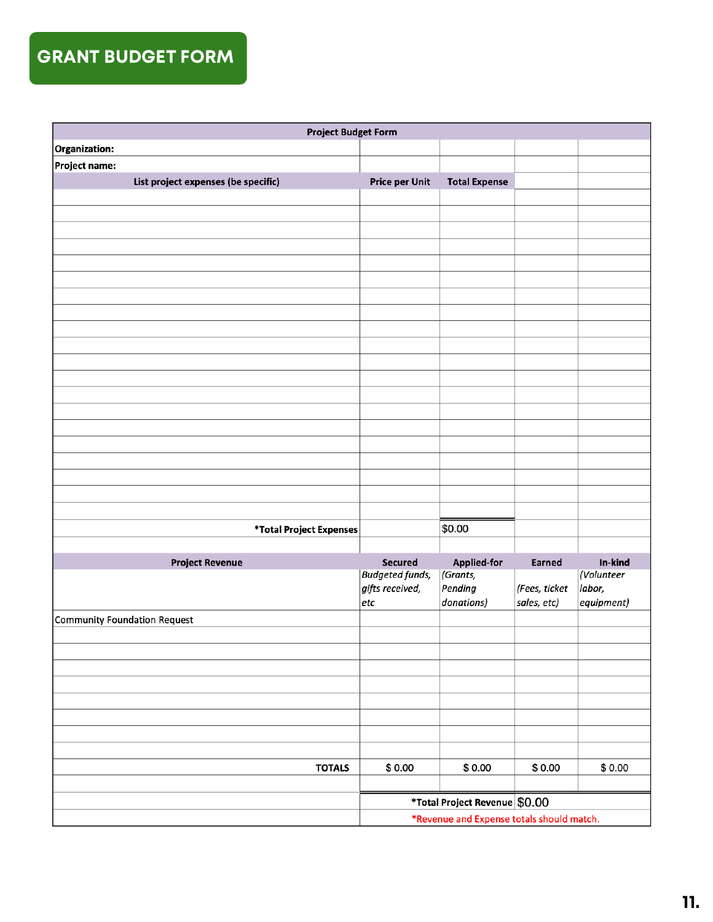#### <span id="page-10-0"></span>GRANT BUDGET FORM

| <b>Project Budget Form</b>          |                                           |                                |               |                       |  |
|-------------------------------------|-------------------------------------------|--------------------------------|---------------|-----------------------|--|
| Organization:                       |                                           |                                |               |                       |  |
| Project name:                       |                                           |                                |               |                       |  |
| List project expenses (be specific) | <b>Price per Unit</b>                     | <b>Total Expense</b>           |               |                       |  |
|                                     |                                           |                                |               |                       |  |
|                                     |                                           |                                |               |                       |  |
|                                     |                                           |                                |               |                       |  |
|                                     |                                           |                                |               |                       |  |
|                                     |                                           |                                |               |                       |  |
|                                     |                                           |                                |               |                       |  |
|                                     |                                           |                                |               |                       |  |
|                                     |                                           |                                |               |                       |  |
|                                     |                                           |                                |               |                       |  |
|                                     |                                           |                                |               |                       |  |
|                                     |                                           |                                |               |                       |  |
|                                     |                                           |                                |               |                       |  |
|                                     |                                           |                                |               |                       |  |
|                                     |                                           |                                |               |                       |  |
|                                     |                                           |                                |               |                       |  |
|                                     |                                           |                                |               |                       |  |
|                                     |                                           |                                |               |                       |  |
|                                     |                                           |                                |               |                       |  |
|                                     |                                           |                                |               |                       |  |
|                                     |                                           |                                |               |                       |  |
| *Total Project Expenses             |                                           | \$0.00                         |               |                       |  |
|                                     |                                           |                                |               |                       |  |
| <b>Project Revenue</b>              | Secured<br><b>Budgeted funds,</b>         | <b>Applied-for</b><br>(Grants, | Earned        | In-kind<br>(Volunteer |  |
|                                     | gifts received,                           | Pending                        | (Fees, ticket | labor,                |  |
|                                     | etc                                       | donations)                     | sales, etc)   | $ $ equipment)        |  |
| Community Foundation Request        |                                           |                                |               |                       |  |
|                                     |                                           |                                |               |                       |  |
|                                     |                                           |                                |               |                       |  |
|                                     |                                           |                                |               |                       |  |
|                                     |                                           |                                |               |                       |  |
|                                     |                                           |                                |               |                       |  |
|                                     |                                           |                                |               |                       |  |
|                                     |                                           |                                |               |                       |  |
|                                     |                                           |                                |               |                       |  |
| <b>TOTALS</b>                       | \$0.00                                    | \$0.00                         | \$0.00        | \$0.00                |  |
|                                     |                                           |                                |               |                       |  |
|                                     | *Total Project Revenue \$0.00             |                                |               |                       |  |
|                                     | *Revenue and Expense totals should match. |                                |               |                       |  |